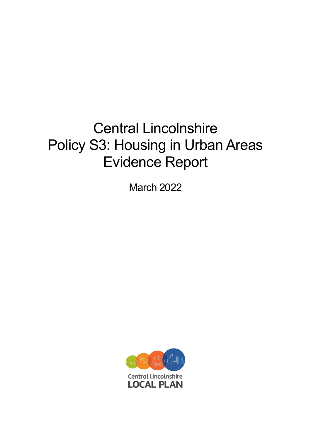# Central Lincolnshire Policy S3: Housing in Urban Areas Evidence Report

March 2022

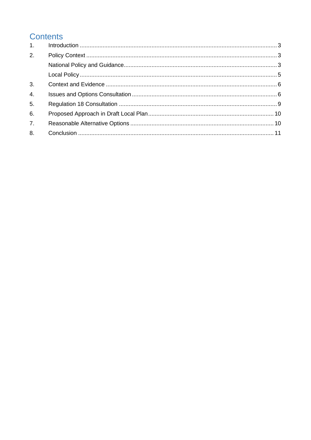# **Contents**

| 1.               |  |
|------------------|--|
| 2.               |  |
|                  |  |
|                  |  |
| 3.               |  |
| $\overline{4}$ . |  |
| 5 <sub>1</sub>   |  |
| 6.               |  |
| 7 <sub>1</sub>   |  |
| 8.               |  |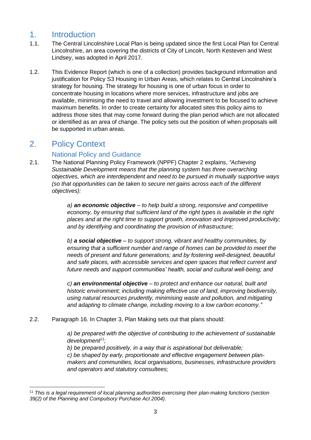## <span id="page-2-0"></span>1. Introduction

- 1.1. The Central Lincolnshire Local Plan is being updated since the first Local Plan for Central Lincolnshire, an area covering the districts of City of Lincoln, North Kesteven and West Lindsey, was adopted in April 2017.
- 1.2. This Evidence Report (which is one of a collection) provides background information and justification for Policy S3 Housing in Urban Areas, which relates to Central Lincolnshire's strategy for housing. The strategy for housing is one of urban focus in order to concentrate housing in locations where more services, infrastructure and jobs are available, minimising the need to travel and allowing investment to be focused to achieve maximum benefits. In order to create certainty for allocated sites this policy aims to address those sites that may come forward during the plan period which are not allocated or identified as an area of change. The policy sets out the position of when proposals will be supported in urban areas.

## <span id="page-2-1"></span>2. Policy Context

## National Policy and Guidance

<span id="page-2-2"></span>2.1. The National Planning Policy Framework (NPPF) Chapter 2 explains, *"Achieving Sustainable Development means that the planning system has three overarching objectives, which are interdependent and need to be pursued in mutually supportive ways (so that opportunities can be taken to secure net gains across each of the different objectives):* 

> *a) an economic objective – to help build a strong, responsive and competitive economy, by ensuring that sufficient land of the right types is available in the right places and at the right time to support growth, innovation and improved productivity; and by identifying and coordinating the provision of infrastructure;*

*b) a social objective – to support strong, vibrant and healthy communities, by ensuring that a sufficient number and range of homes can be provided to meet the needs of present and future generations; and by fostering well-designed, beautiful and safe places, with accessible services and open spaces that reflect current and future needs and support communities' health, social and cultural well-being; and* 

*c) an environmental objective – to protect and enhance our natural, built and historic environment; including making effective use of land, improving biodiversity, using natural resources prudently, minimising waste and pollution, and mitigating and adapting to climate change, including moving to a low carbon economy."*

2.2. Paragraph 16. In Chapter 3, Plan Making sets out that plans should:

*a) be prepared with the objective of contributing to the achievement of sustainable development<sup>11</sup>;* 

*b) be prepared positively, in a way that is aspirational but deliverable; c) be shaped by early, proportionate and effective engagement between planmakers and communities, local organisations, businesses, infrastructure providers and operators and statutory consultees;* 

<sup>11</sup> *This is a legal requirement of local planning authorities exercising their plan-making functions (section 39(2) of the Planning and Compulsory Purchase Act 2004).*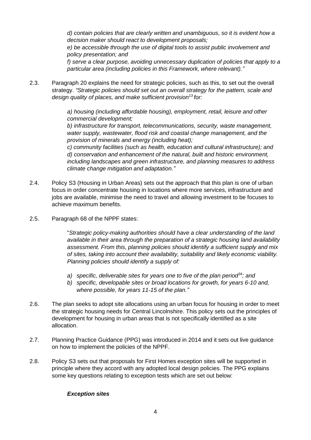*d) contain policies that are clearly written and unambiguous, so it is evident how a decision maker should react to development proposals; e) be accessible through the use of digital tools to assist public involvement and policy presentation; and f) serve a clear purpose, avoiding unnecessary duplication of policies that apply to a particular area (including policies in this Framework, where relevant)."*

2.3. Paragraph 20 explains the need for strategic policies, such as this, to set out the overall strategy. *"Strategic policies should set out an overall strategy for the pattern, scale and design quality of places, and make sufficient provision<sup>13</sup>for:* 

> *a) housing (including affordable housing), employment, retail, leisure and other commercial development;*

*b) infrastructure for transport, telecommunications, security, waste management, water supply, wastewater, flood risk and coastal change management, and the provision of minerals and energy (including heat);* 

*c) community facilities (such as health, education and cultural infrastructure); and d) conservation and enhancement of the natural, built and historic environment, including landscapes and green infrastructure, and planning measures to address climate change mitigation and adaptation."*

- 2.4. Policy S3 (Housing in Urban Areas) sets out the approach that this plan is one of urban focus in order concentrate housing in locations where more services, infrastructure and jobs are available, minimise the need to travel and allowing investment to be focuses to achieve maximum benefits.
- 2.5. Paragraph 68 of the NPPF states:

"*Strategic policy-making authorities should have a clear understanding of the land available in their area through the preparation of a strategic housing land availability assessment. From this, planning policies should identify a sufficient supply and mix of sites, taking into account their availability, suitability and likely economic viability. Planning policies should identify a supply of:* 

- *a) specific, deliverable sites for years one to five of the plan period<sup>34</sup>; and*
- *b) specific, developable sites or broad locations for growth, for years 6-10 and, where possible, for years 11-15 of the plan."*
- 2.6. The plan seeks to adopt site allocations using an urban focus for housing in order to meet the strategic housing needs for Central Lincolnshire. This policy sets out the principles of development for housing in urban areas that is not specifically identified as a site allocation.
- 2.7. Planning Practice Guidance (PPG) was introduced in 2014 and it sets out live guidance on how to implement the policies of the NPPF.
- 2.8. Policy S3 sets out that proposals for First Homes exception sites will be supported in principle where they accord with any adopted local design policies. The PPG explains some key questions relating to exception tests which are set out below:

## *Exception sites*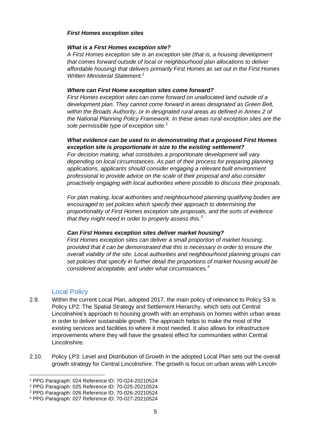#### *First Homes exception sites*

#### *What is a First Homes exception site?*

*A First Homes exception site is an exception site (that is, a housing development that comes forward outside of local or neighbourhood plan allocations to deliver affordable housing) that delivers primarily First Homes as set out in the First Homes Written Ministerial Statement.<sup>1</sup>*

#### *Where can First Home exception sites come forward?*

*First Homes exception sites can come forward on unallocated land outside of a development plan. They cannot come forward in areas designated as Green Belt, within the Broads Authority, or in designated rural areas as defined in Annex 2 of the National Planning Policy Framework. In these areas rural exception sites are the sole permissible type of exception site.<sup>2</sup>*

#### *What evidence can be used to in demonstrating that a proposed First Homes exception site is proportionate in size to the existing settlement?*

*For decision making, what constitutes a proportionate development will vary depending on local circumstances. As part of their process for preparing planning applications, applicants should consider engaging a relevant built environment professional to provide advice on the scale of their proposal and also consider proactively engaging with local authorities where possible to discuss their proposals.*

*For plan making, local authorities and neighbourhood planning qualifying bodies are encouraged to set policies which specify their approach to determining the proportionality of First Homes exception site proposals, and the sorts of evidence that they might need in order to properly assess this.<sup>3</sup>*

#### *Can First Homes exception sites deliver market housing?*

*First Homes exception sites can deliver a small proportion of market housing, provided that it can be demonstrated that this is necessary in order to ensure the overall viability of the site. Local authorities and neighbourhood planning groups can set policies that specify in further detail the proportions of market housing would be considered acceptable, and under what circumstances.<sup>4</sup>*

## Local Policy

- <span id="page-4-0"></span>2.9. Within the current Local Plan, adopted 2017, the main policy of relevance to Policy S3 is Policy LP2: The Spatial Strategy and Settlement Hierarchy, which sets out Central Lincolnshire's approach to housing growth with an emphasis on homes within urban areas in order to deliver sustainable growth. The approach helps to make the most of the existing services and facilities to where it most needed. It also allows for infrastructure improvements where they will have the greatest effect for communities within Central Lincolnshire.
- 2.10. Policy LP3: Level and Distribution of Growth in the adopted Local Plan sets out the overall growth strategy for Central Lincolnshire. The growth is focus on urban areas with Lincoln

<sup>1</sup> PPG Paragraph: 024 Reference ID: 70-024-20210524

<sup>2</sup> PPG Paragraph: 025 Reference ID: 70-025-20210524

<sup>3</sup> PPG Paragraph: 026 Reference ID: 70-026-20210524

<sup>4</sup> PPG Paragraph: 027 Reference ID: 70-027-20210524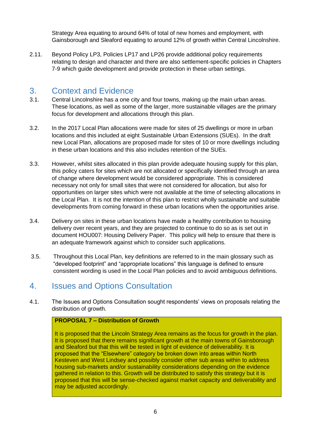Strategy Area equating to around 64% of total of new homes and employment, with Gainsborough and Sleaford equating to around 12% of growth within Central Lincolnshire.

2.11. Beyond Policy LP3, Policies LP17 and LP26 provide additional policy requirements relating to design and character and there are also settlement-specific policies in Chapters 7-9 which guide development and provide protection in these urban settings.

## <span id="page-5-0"></span>3. Context and Evidence

- 3.1. Central Lincolnshire has a one city and four towns, making up the main urban areas. These locations, as well as some of the larger, more sustainable villages are the primary focus for development and allocations through this plan.
- 3.2. In the 2017 Local Plan allocations were made for sites of 25 dwellings or more in urban locations and this included at eight Sustainable Urban Extensions (SUEs). In the draft new Local Plan, allocations are proposed made for sites of 10 or more dwellings including in these urban locations and this also includes retention of the SUEs.
- 3.3. However, whilst sites allocated in this plan provide adequate housing supply for this plan, this policy caters for sites which are not allocated or specifically identified through an area of change where development would be considered appropriate. This is considered necessary not only for small sites that were not considered for allocation, but also for opportunities on larger sites which were not available at the time of selecting allocations in the Local Plan. It is not the intention of this plan to restrict wholly sustainable and suitable developments from coming forward in these urban locations when the opportunities arise.
- 3.4. Delivery on sites in these urban locations have made a healthy contribution to housing delivery over recent years, and they are projected to continue to do so as is set out in document HOU007: Housing Delivery Paper. This policy will help to ensure that there is an adequate framework against which to consider such applications.
- 3.5. Throughout this Local Plan, key definitions are referred to in the main glossary such as "developed footprint" and "appropriate locations" this language is defined to ensure consistent wording is used in the Local Plan policies and to avoid ambiguous definitions.

## <span id="page-5-1"></span>4. Issues and Options Consultation

4.1. The Issues and Options Consultation sought respondents' views on proposals relating the distribution of growth.

#### **PROPOSAL 7 – Distribution of Growth**

It is proposed that the Lincoln Strategy Area remains as the focus for growth in the plan. It is proposed that there remains significant growth at the main towns of Gainsborough and Sleaford but that this will be tested in light of evidence of deliverability. It is proposed that the "Elsewhere" category be broken down into areas within North Kesteven and West Lindsey and possibly consider other sub areas within to address housing sub-markets and/or sustainability considerations depending on the evidence gathered in relation to this. Growth will be distributed to satisfy this strategy but it is proposed that this will be sense-checked against market capacity and deliverability and may be adjusted accordingly.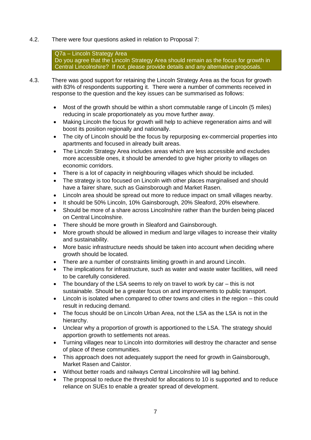4.2. There were four questions asked in relation to Proposal 7:

## Q7a – Lincoln Strategy Area

Do you agree that the Lincoln Strategy Area should remain as the focus for growth in Central Lincolnshire? If not, please provide details and any alternative proposals.

- 4.3. There was good support for retaining the Lincoln Strategy Area as the focus for growth with 83% of respondents supporting it. There were a number of comments received in response to the question and the key issues can be summarised as follows:
	- Most of the growth should be within a short commutable range of Lincoln (5 miles) reducing in scale proportionately as you move further away.
	- Making Lincoln the focus for growth will help to achieve regeneration aims and will boost its position regionally and nationally.
	- The city of Lincoln should be the focus by repurposing ex-commercial properties into apartments and focused in already built areas.
	- The Lincoln Strategy Area includes areas which are less accessible and excludes more accessible ones, it should be amended to give higher priority to villages on economic corridors.
	- There is a lot of capacity in neighbouring villages which should be included.
	- The strategy is too focused on Lincoln with other places marginalised and should have a fairer share, such as Gainsborough and Market Rasen.
	- Lincoln area should be spread out more to reduce impact on small villages nearby.
	- It should be 50% Lincoln, 10% Gainsborough, 20% Sleaford, 20% elsewhere.
	- Should be more of a share across Lincolnshire rather than the burden being placed on Central Lincolnshire.
	- There should be more growth in Sleaford and Gainsborough.
	- More growth should be allowed in medium and large villages to increase their vitality and sustainability.
	- More basic infrastructure needs should be taken into account when deciding where growth should be located.
	- There are a number of constraints limiting growth in and around Lincoln.
	- The implications for infrastructure, such as water and waste water facilities, will need to be carefully considered.
	- The boundary of the LSA seems to rely on travel to work by car this is not sustainable. Should be a greater focus on and improvements to public transport.
	- Lincoln is isolated when compared to other towns and cities in the region this could result in reducing demand.
	- The focus should be on Lincoln Urban Area, not the LSA as the LSA is not in the hierarchy.
	- Unclear why a proportion of growth is apportioned to the LSA. The strategy should apportion growth to settlements not areas.
	- Turning villages near to Lincoln into dormitories will destroy the character and sense of place of these communities.
	- This approach does not adequately support the need for growth in Gainsborough, Market Rasen and Caistor.
	- Without better roads and railways Central Lincolnshire will lag behind.
	- The proposal to reduce the threshold for allocations to 10 is supported and to reduce reliance on SUEs to enable a greater spread of development.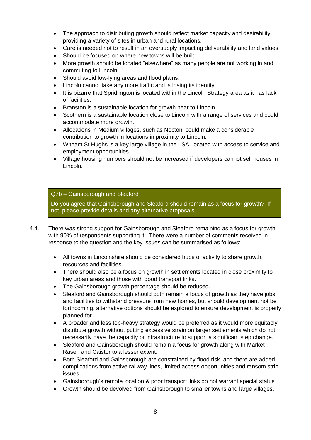- The approach to distributing growth should reflect market capacity and desirability. providing a variety of sites in urban and rural locations.
- Care is needed not to result in an oversupply impacting deliverability and land values.
- Should be focused on where new towns will be built.
- More growth should be located "elsewhere" as many people are not working in and commuting to Lincoln.
- Should avoid low-lying areas and flood plains.
- Lincoln cannot take any more traffic and is losing its identity.
- It is bizarre that Spridlington is located within the Lincoln Strategy area as it has lack of facilities.
- Branston is a sustainable location for growth near to Lincoln.
- Scothern is a sustainable location close to Lincoln with a range of services and could accommodate more growth.
- Allocations in Medium villages, such as Nocton, could make a considerable contribution to growth in locations in proximity to Lincoln.
- Witham St Hughs is a key large village in the LSA, located with access to service and employment opportunities.
- Village housing numbers should not be increased if developers cannot sell houses in Lincoln.

## Q7b – Gainsborough and Sleaford

Do you agree that Gainsborough and Sleaford should remain as a focus for growth? If not, please provide details and any alternative proposals.

- 4.4. There was strong support for Gainsborough and Sleaford remaining as a focus for growth with 90% of respondents supporting it. There were a number of comments received in response to the question and the key issues can be summarised as follows:
	- All towns in Lincolnshire should be considered hubs of activity to share growth, resources and facilities.
	- There should also be a focus on growth in settlements located in close proximity to key urban areas and those with good transport links.
	- The Gainsborough growth percentage should be reduced.
	- Sleaford and Gainsborough should both remain a focus of growth as they have jobs and facilities to withstand pressure from new homes, but should development not be forthcoming, alternative options should be explored to ensure development is properly planned for.
	- A broader and less top-heavy strategy would be preferred as it would more equitably distribute growth without putting excessive strain on larger settlements which do not necessarily have the capacity or infrastructure to support a significant step change.
	- Sleaford and Gainsborough should remain a focus for growth along with Market Rasen and Caistor to a lesser extent.
	- Both Sleaford and Gainsborough are constrained by flood risk, and there are added complications from active railway lines, limited access opportunities and ransom strip issues.
	- Gainsborough's remote location & poor transport links do not warrant special status.
	- Growth should be devolved from Gainsborough to smaller towns and large villages.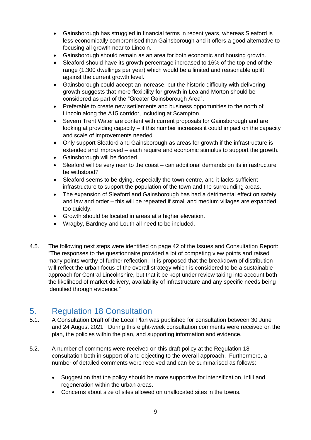- Gainsborough has struggled in financial terms in recent years, whereas Sleaford is less economically compromised than Gainsborough and it offers a good alternative to focusing all growth near to Lincoln.
- Gainsborough should remain as an area for both economic and housing growth.
- Sleaford should have its growth percentage increased to 16% of the top end of the range (1,300 dwellings per year) which would be a limited and reasonable uplift against the current growth level.
- Gainsborough could accept an increase, but the historic difficulty with delivering growth suggests that more flexibility for growth in Lea and Morton should be considered as part of the "Greater Gainsborough Area".
- Preferable to create new settlements and business opportunities to the north of Lincoln along the A15 corridor, including at Scampton.
- Severn Trent Water are content with current proposals for Gainsborough and are looking at providing capacity – if this number increases it could impact on the capacity and scale of improvements needed.
- Only support Sleaford and Gainsborough as areas for growth if the infrastructure is extended and improved – each require and economic stimulus to support the growth.
- Gainsborough will be flooded.
- Sleaford will be very near to the coast can additional demands on its infrastructure be withstood?
- Sleaford seems to be dying, especially the town centre, and it lacks sufficient infrastructure to support the population of the town and the surrounding areas.
- The expansion of Sleaford and Gainsborough has had a detrimental effect on safety and law and order – this will be repeated if small and medium villages are expanded too quickly.
- Growth should be located in areas at a higher elevation.
- Wragby, Bardney and Louth all need to be included.
- 4.5. The following next steps were identified on page 42 of the Issues and Consultation Report: "The responses to the questionnaire provided a lot of competing view points and raised many points worthy of further reflection. It is proposed that the breakdown of distribution will reflect the urban focus of the overall strategy which is considered to be a sustainable approach for Central Lincolnshire, but that it be kept under review taking into account both the likelihood of market delivery, availability of infrastructure and any specific needs being identified through evidence."

## <span id="page-8-0"></span>5. Regulation 18 Consultation

- 5.1. A Consultation Draft of the Local Plan was published for consultation between 30 June and 24 August 2021. During this eight-week consultation comments were received on the plan, the policies within the plan, and supporting information and evidence.
- 5.2. A number of comments were received on this draft policy at the Regulation 18 consultation both in support of and objecting to the overall approach. Furthermore, a number of detailed comments were received and can be summarised as follows:
	- Suggestion that the policy should be more supportive for intensification, infill and regeneration within the urban areas.
	- Concerns about size of sites allowed on unallocated sites in the towns.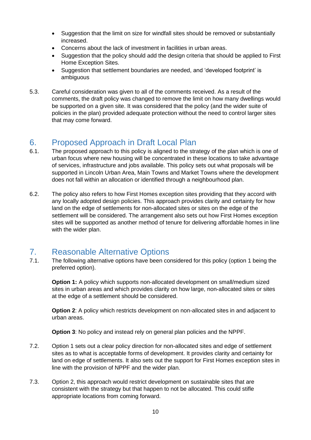- Suggestion that the limit on size for windfall sites should be removed or substantially increased.
- Concerns about the lack of investment in facilities in urban areas.
- Suggestion that the policy should add the design criteria that should be applied to First Home Exception Sites.
- Suggestion that settlement boundaries are needed, and 'developed footprint' is ambiguous
- 5.3. Careful consideration was given to all of the comments received. As a result of the comments, the draft policy was changed to remove the limit on how many dwellings would be supported on a given site. It was considered that the policy (and the wider suite of policies in the plan) provided adequate protection without the need to control larger sites that may come forward.

# <span id="page-9-0"></span>6. Proposed Approach in Draft Local Plan

- 6.1. The proposed approach to this policy is aligned to the strategy of the plan which is one of urban focus where new housing will be concentrated in these locations to take advantage of services, infrastructure and jobs available. This policy sets out what proposals will be supported in Lincoln Urban Area, Main Towns and Market Towns where the development does not fall within an allocation or identified through a neighbourhood plan.
- 6.2. The policy also refers to how First Homes exception sites providing that they accord with any locally adopted design policies. This approach provides clarity and certainty for how land on the edge of settlements for non-allocated sites or sites on the edge of the settlement will be considered. The arrangement also sets out how First Homes exception sites will be supported as another method of tenure for delivering affordable homes in line with the wider plan.

# <span id="page-9-1"></span>7. Reasonable Alternative Options

7.1. The following alternative options have been considered for this policy (option 1 being the preferred option).

**Option 1:** A policy which supports non-allocated development on small/medium sized sites in urban areas and which provides clarity on how large, non-allocated sites or sites at the edge of a settlement should be considered.

**Option 2:** A policy which restricts development on non-allocated sites in and adjacent to urban areas.

**Option 3**: No policy and instead rely on general plan policies and the NPPF.

- 7.2. Option 1 sets out a clear policy direction for non-allocated sites and edge of settlement sites as to what is acceptable forms of development. It provides clarity and certainty for land on edge of settlements. It also sets out the support for First Homes exception sites in line with the provision of NPPF and the wider plan.
- 7.3. Option 2, this approach would restrict development on sustainable sites that are consistent with the strategy but that happen to not be allocated. This could stifle appropriate locations from coming forward.